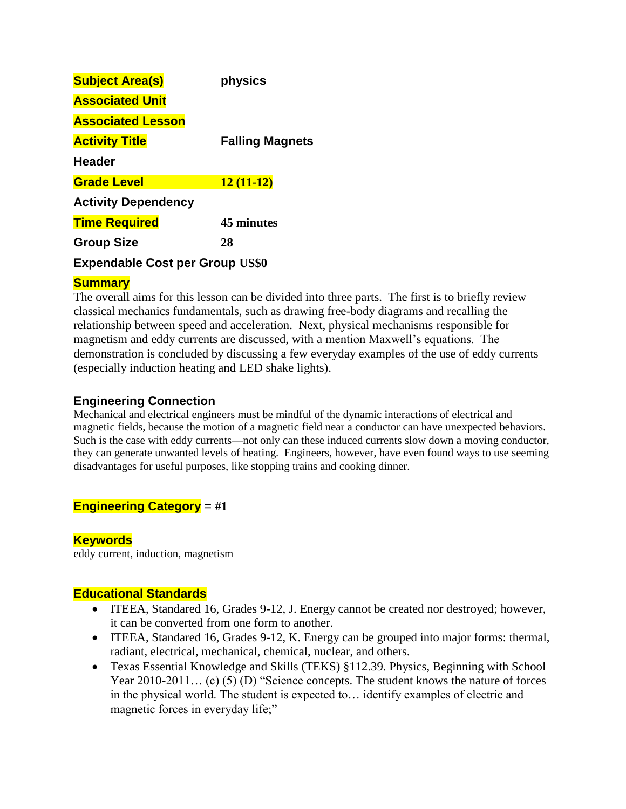| <b>Subject Area(s)</b>     | physics                |
|----------------------------|------------------------|
| <b>Associated Unit</b>     |                        |
| <b>Associated Lesson</b>   |                        |
| <b>Activity Title</b>      | <b>Falling Magnets</b> |
| <b>Header</b>              |                        |
| <b>Grade Level</b>         | $12(11-12)$            |
| <b>Activity Dependency</b> |                        |
| <b>Time Required</b>       | 45 minutes             |
| <b>Group Size</b>          | 28                     |
|                            |                        |

## **Expendable Cost per Group US\$0**

## **Summary**

The overall aims for this lesson can be divided into three parts. The first is to briefly review classical mechanics fundamentals, such as drawing free-body diagrams and recalling the relationship between speed and acceleration. Next, physical mechanisms responsible for magnetism and eddy currents are discussed, with a mention Maxwell's equations. The demonstration is concluded by discussing a few everyday examples of the use of eddy currents (especially induction heating and LED shake lights).

## **Engineering Connection**

Mechanical and electrical engineers must be mindful of the dynamic interactions of electrical and magnetic fields, because the motion of a magnetic field near a conductor can have unexpected behaviors. Such is the case with eddy currents—not only can these induced currents slow down a moving conductor, they can generate unwanted levels of heating. Engineers, however, have even found ways to use seeming disadvantages for useful purposes, like stopping trains and cooking dinner.

# **Engineering Category** = **#1**

## **Keywords**

eddy current, induction, magnetism

## **Educational Standards**

- ITEEA, Standared 16, Grades 9-12, J. Energy cannot be created nor destroyed; however, it can be converted from one form to another.
- ITEEA, Standared 16, Grades 9-12, K. Energy can be grouped into major forms: thermal, radiant, electrical, mechanical, chemical, nuclear, and others.
- Texas Essential Knowledge and Skills (TEKS) §112.39. Physics, Beginning with School Year 2010-2011... (c) (5) (D) "Science concepts. The student knows the nature of forces in the physical world. The student is expected to… identify examples of electric and magnetic forces in everyday life;"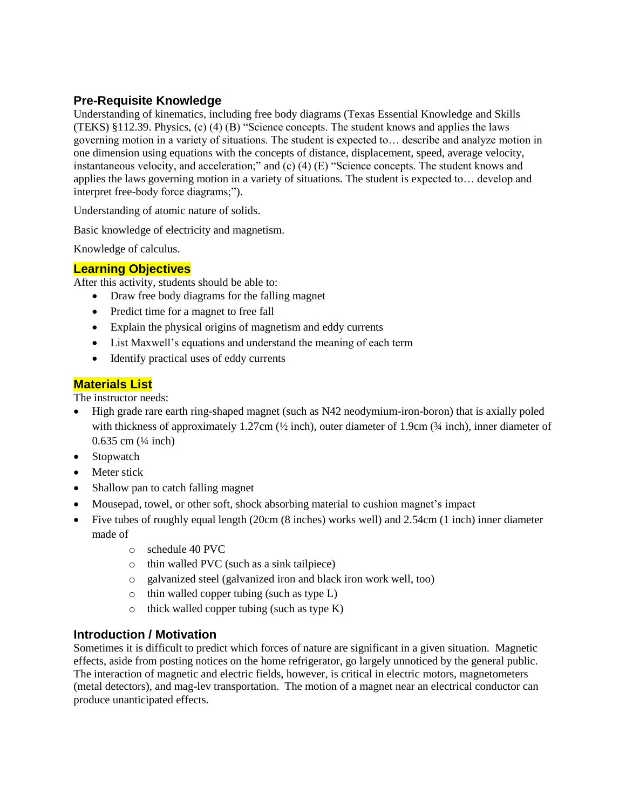## **Pre-Requisite Knowledge**

Understanding of kinematics, including free body diagrams (Texas Essential Knowledge and Skills (TEKS) §112.39. Physics, (c) (4) (B) "Science concepts. The student knows and applies the laws governing motion in a variety of situations. The student is expected to… describe and analyze motion in one dimension using equations with the concepts of distance, displacement, speed, average velocity, instantaneous velocity, and acceleration;" and (c) (4) (E) "Science concepts. The student knows and applies the laws governing motion in a variety of situations. The student is expected to… develop and interpret free-body force diagrams;").

Understanding of atomic nature of solids.

Basic knowledge of electricity and magnetism.

Knowledge of calculus.

#### **Learning Objectives**

After this activity, students should be able to:

- Draw free body diagrams for the falling magnet
- Predict time for a magnet to free fall
- Explain the physical origins of magnetism and eddy currents
- List Maxwell's equations and understand the meaning of each term
- Identify practical uses of eddy currents

## **Materials List**

The instructor needs:

- High grade rare earth ring-shaped magnet (such as N42 neodymium-iron-boron) that is axially poled with thickness of approximately 1.27cm  $(\frac{1}{2}$  inch), outer diameter of 1.9cm  $(\frac{3}{4}$  inch), inner diameter of  $0.635$  cm  $(\frac{1}{4}$  inch)
- Stopwatch
- Meter stick
- Shallow pan to catch falling magnet
- Mousepad, towel, or other soft, shock absorbing material to cushion magnet's impact
- Five tubes of roughly equal length (20cm (8 inches) works well) and 2.54cm (1 inch) inner diameter made of
	- o schedule 40 PVC
	- o thin walled PVC (such as a sink tailpiece)
	- o galvanized steel (galvanized iron and black iron work well, too)
	- o thin walled copper tubing (such as type L)
	- $\circ$  thick walled copper tubing (such as type K)

### **Introduction / Motivation**

Sometimes it is difficult to predict which forces of nature are significant in a given situation. Magnetic effects, aside from posting notices on the home refrigerator, go largely unnoticed by the general public. The interaction of magnetic and electric fields, however, is critical in electric motors, magnetometers (metal detectors), and mag-lev transportation. The motion of a magnet near an electrical conductor can produce unanticipated effects.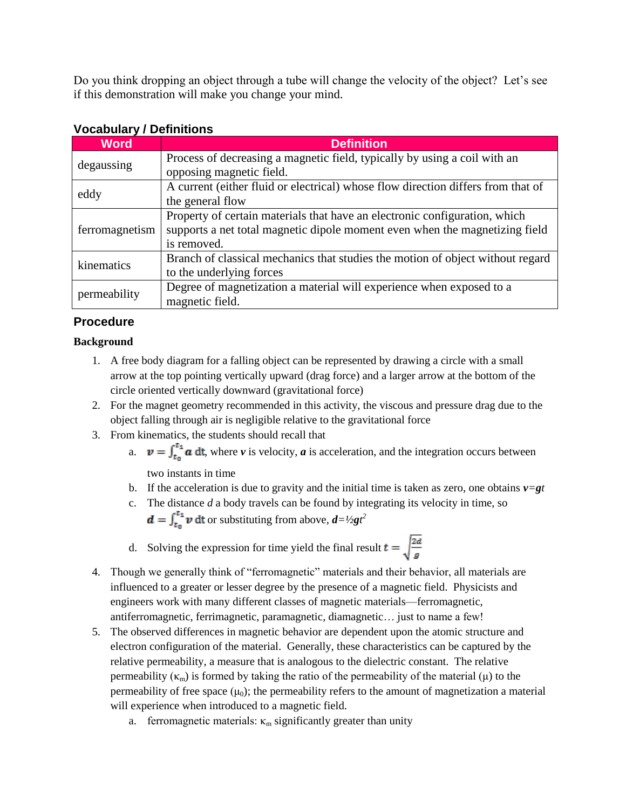Do you think dropping an object through a tube will change the velocity of the object? Let's see if this demonstration will make you change your mind.

| <u>VOCADAIAI Y / DCIIIIIIOIIS</u> |                                                                                  |
|-----------------------------------|----------------------------------------------------------------------------------|
| <b>Word</b>                       | <b>Definition</b>                                                                |
| degaussing                        | Process of decreasing a magnetic field, typically by using a coil with an        |
|                                   | opposing magnetic field.                                                         |
| eddy                              | A current (either fluid or electrical) whose flow direction differs from that of |
|                                   | the general flow                                                                 |
| ferromagnetism                    | Property of certain materials that have an electronic configuration, which       |
|                                   | supports a net total magnetic dipole moment even when the magnetizing field      |
|                                   | is removed.                                                                      |
| kinematics                        | Branch of classical mechanics that studies the motion of object without regard   |
|                                   | to the underlying forces                                                         |
| permeability                      | Degree of magnetization a material will experience when exposed to a             |
|                                   | magnetic field.                                                                  |

# **Vocabulary / Definitions**

# **Procedure**

## **Background**

- 1. A free body diagram for a falling object can be represented by drawing a circle with a small arrow at the top pointing vertically upward (drag force) and a larger arrow at the bottom of the circle oriented vertically downward (gravitational force)
- 2. For the magnet geometry recommended in this activity, the viscous and pressure drag due to the object falling through air is negligible relative to the gravitational force
- 3. From kinematics, the students should recall that
	- a.  $v = \int_{t_0}^{t_1} a \, dt$ , where *v* is velocity, *a* is acceleration, and the integration occurs between two instants in time
	- b. If the acceleration is due to gravity and the initial time is taken as zero, one obtains  $v=gt$
	- c. The distance *d* a body travels can be found by integrating its velocity in time, so
		- or substituting from above,  $d = \frac{1}{2gt^2}$
	- d. Solving the expression for time yield the final result  $t = \sqrt{\frac{2d}{a}}$
- 4. Though we generally think of "ferromagnetic" materials and their behavior, all materials are influenced to a greater or lesser degree by the presence of a magnetic field. Physicists and engineers work with many different classes of magnetic materials—ferromagnetic, antiferromagnetic, ferrimagnetic, paramagnetic, diamagnetic… just to name a few!
- 5. The observed differences in magnetic behavior are dependent upon the atomic structure and electron configuration of the material. Generally, these characteristics can be captured by the relative permeability, a measure that is analogous to the dielectric constant. The relative permeability ( $\kappa_m$ ) is formed by taking the ratio of the permeability of the material ( $\mu$ ) to the permeability of free space  $(\mu_0)$ ; the permeability refers to the amount of magnetization a material will experience when introduced to a magnetic field.
	- a. ferromagnetic materials:  $\kappa_m$  significantly greater than unity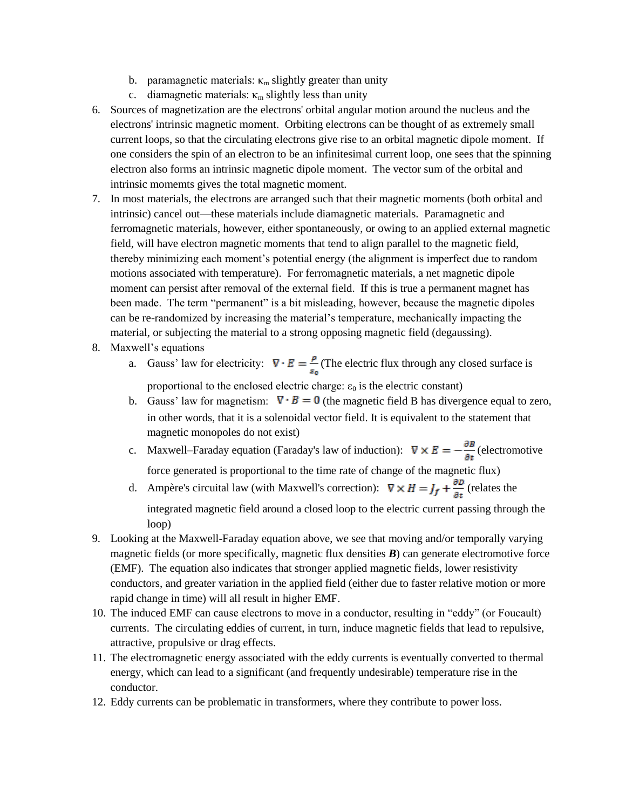- b. paramagnetic materials:  $\kappa_m$  slightly greater than unity
- c. diamagnetic materials:  $\kappa_m$  slightly less than unity
- 6. Sources of magnetization are the electrons' orbital angular motion around the nucleus and the electrons' intrinsic magnetic moment. Orbiting electrons can be thought of as extremely small current loops, so that the circulating electrons give rise to an orbital magnetic dipole moment. If one considers the spin of an electron to be an infinitesimal current loop, one sees that the spinning electron also forms an intrinsic magnetic dipole moment. The vector sum of the orbital and intrinsic momemts gives the total magnetic moment.
- 7. In most materials, the electrons are arranged such that their magnetic moments (both orbital and intrinsic) cancel out—these materials include diamagnetic materials. Paramagnetic and ferromagnetic materials, however, either spontaneously, or owing to an applied external magnetic field, will have electron magnetic moments that tend to align parallel to the magnetic field, thereby minimizing each moment's potential energy (the alignment is imperfect due to random motions associated with temperature). For ferromagnetic materials, a net magnetic dipole moment can persist after removal of the external field. If this is true a permanent magnet has been made. The term "permanent" is a bit misleading, however, because the magnetic dipoles can be re-randomized by increasing the material's temperature, mechanically impacting the material, or subjecting the material to a strong opposing magnetic field (degaussing).
- 8. Maxwell's equations
	- a. Gauss' law for electricity:  $\nabla \cdot E = \frac{\rho}{\epsilon_0}$  (The electric flux through any closed surface is proportional to the enclosed electric charge:  $\varepsilon_0$  is the electric constant)
	- b. Gauss' law for magnetism:  $\nabla \cdot \vec{B} = 0$  (the magnetic field B has divergence equal to zero, in other words, that it is a solenoidal vector field. It is equivalent to the statement that magnetic monopoles do not exist)
	- c. Maxwell–Faraday equation (Faraday's law of induction):  $\nabla \times E = -\frac{\partial E}{\partial t}$  (electromotive force generated is proportional to the time rate of change of the magnetic flux)
	- d. Ampère's circuital law (with Maxwell's correction):  $\nabla \times H = J_f + \frac{\partial D}{\partial t}$  (relates the integrated magnetic field around a closed loop to the electric current passing through the loop)
- 9. Looking at the Maxwell-Faraday equation above, we see that moving and/or temporally varying magnetic fields (or more specifically, magnetic flux densities *B*) can generate electromotive force (EMF). The equation also indicates that stronger applied magnetic fields, lower resistivity conductors, and greater variation in the applied field (either due to faster relative motion or more rapid change in time) will all result in higher EMF.
- 10. The induced EMF can cause electrons to move in a conductor, resulting in "eddy" (or Foucault) currents. The circulating eddies of current, in turn, induce magnetic fields that lead to repulsive, attractive, propulsive or drag effects.
- 11. The electromagnetic energy associated with the eddy currents is eventually converted to thermal energy, which can lead to a significant (and frequently undesirable) temperature rise in the conductor.
- 12. Eddy currents can be problematic in transformers, where they contribute to power loss.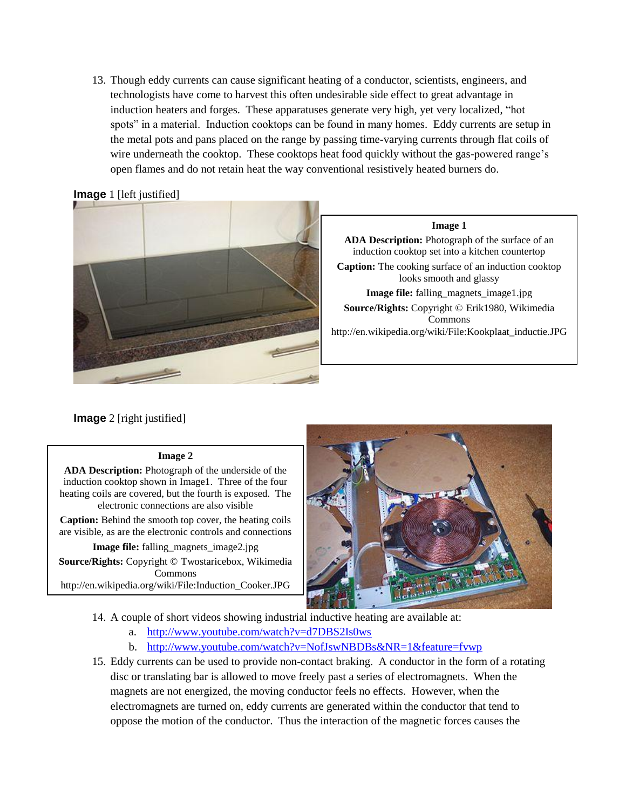13. Though eddy currents can cause significant heating of a conductor, scientists, engineers, and technologists have come to harvest this often undesirable side effect to great advantage in induction heaters and forges. These apparatuses generate very high, yet very localized, "hot spots" in a material. Induction cooktops can be found in many homes. Eddy currents are setup in the metal pots and pans placed on the range by passing time-varying currents through flat coils of wire underneath the cooktop. These cooktops heat food quickly without the gas-powered range's open flames and do not retain heat the way conventional resistively heated burners do.

#### **Image** 1 [left justified]



**Image 1**

**ADA Description:** Photograph of the surface of an induction cooktop set into a kitchen countertop **Caption:** The cooking surface of an induction cooktop looks smooth and glassy **Image file:** falling magnets image1.jpg **Source/Rights:** Copyright © Erik1980, Wikimedia Commons http://en.wikipedia.org/wiki/File:Kookplaat\_inductie.JPG

**Image** 2 [right justified]

#### **Image 2**

**ADA Description:** Photograph of the underside of the induction cooktop shown in Image1. Three of the four heating coils are covered, but the fourth is exposed. The electronic connections are also visible

**Caption:** Behind the smooth top cover, the heating coils are visible, as are the electronic controls and connections

**Image file:** falling magnets image2.jpg

**Source/Rights:** Copyright © Twostaricebox, Wikimedia Commons http://en.wikipedia.org/wiki/File:Induction\_Cooker.JPG



14. A couple of short videos showing industrial inductive heating are available at:

- a. <http://www.youtube.com/watch?v=d7DBS2Is0ws>
- b. <http://www.youtube.com/watch?v=NofJswNBDBs&NR=1&feature=fvwp>
- 15. Eddy currents can be used to provide non-contact braking. A conductor in the form of a rotating disc or translating bar is allowed to move freely past a series of electromagnets. When the magnets are not energized, the moving conductor feels no effects. However, when the electromagnets are turned on, eddy currents are generated within the conductor that tend to oppose the motion of the conductor. Thus the interaction of the magnetic forces causes the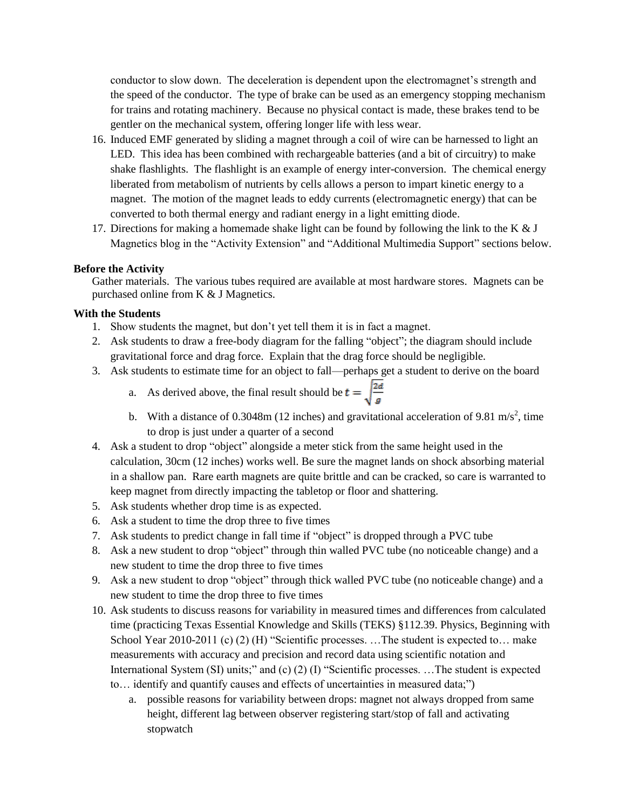conductor to slow down. The deceleration is dependent upon the electromagnet's strength and the speed of the conductor. The type of brake can be used as an emergency stopping mechanism for trains and rotating machinery. Because no physical contact is made, these brakes tend to be gentler on the mechanical system, offering longer life with less wear.

- 16. Induced EMF generated by sliding a magnet through a coil of wire can be harnessed to light an LED. This idea has been combined with rechargeable batteries (and a bit of circuitry) to make shake flashlights. The flashlight is an example of energy inter-conversion. The chemical energy liberated from metabolism of nutrients by cells allows a person to impart kinetic energy to a magnet. The motion of the magnet leads to eddy currents (electromagnetic energy) that can be converted to both thermal energy and radiant energy in a light emitting diode.
- 17. Directions for making a homemade shake light can be found by following the link to the K  $& J$ Magnetics blog in the "Activity Extension" and "Additional Multimedia Support" sections below.

#### **Before the Activity**

Gather materials. The various tubes required are available at most hardware stores. Magnets can be purchased online from K & J Magnetics.

#### **With the Students**

- 1. Show students the magnet, but don't yet tell them it is in fact a magnet.
- 2. Ask students to draw a free-body diagram for the falling "object"; the diagram should include gravitational force and drag force. Explain that the drag force should be negligible.
- 3. Ask students to estimate time for an object to fall—perhaps get a student to derive on the board
	- a. As derived above, the final result should be  $t = \sqrt{\frac{2d}{g}}$
	- b. With a distance of 0.3048m (12 inches) and gravitational acceleration of 9.81 m/s<sup>2</sup>, time to drop is just under a quarter of a second
- 4. Ask a student to drop "object" alongside a meter stick from the same height used in the calculation, 30cm (12 inches) works well. Be sure the magnet lands on shock absorbing material in a shallow pan. Rare earth magnets are quite brittle and can be cracked, so care is warranted to keep magnet from directly impacting the tabletop or floor and shattering.
- 5. Ask students whether drop time is as expected.
- 6. Ask a student to time the drop three to five times
- 7. Ask students to predict change in fall time if "object" is dropped through a PVC tube
- 8. Ask a new student to drop "object" through thin walled PVC tube (no noticeable change) and a new student to time the drop three to five times
- 9. Ask a new student to drop "object" through thick walled PVC tube (no noticeable change) and a new student to time the drop three to five times
- 10. Ask students to discuss reasons for variability in measured times and differences from calculated time (practicing Texas Essential Knowledge and Skills (TEKS) §112.39. Physics, Beginning with School Year 2010-2011 (c) (2) (H) "Scientific processes. ...The student is expected to... make measurements with accuracy and precision and record data using scientific notation and International System (SI) units;" and (c) (2) (I) "Scientific processes. …The student is expected to… identify and quantify causes and effects of uncertainties in measured data;")
	- a. possible reasons for variability between drops: magnet not always dropped from same height, different lag between observer registering start/stop of fall and activating stopwatch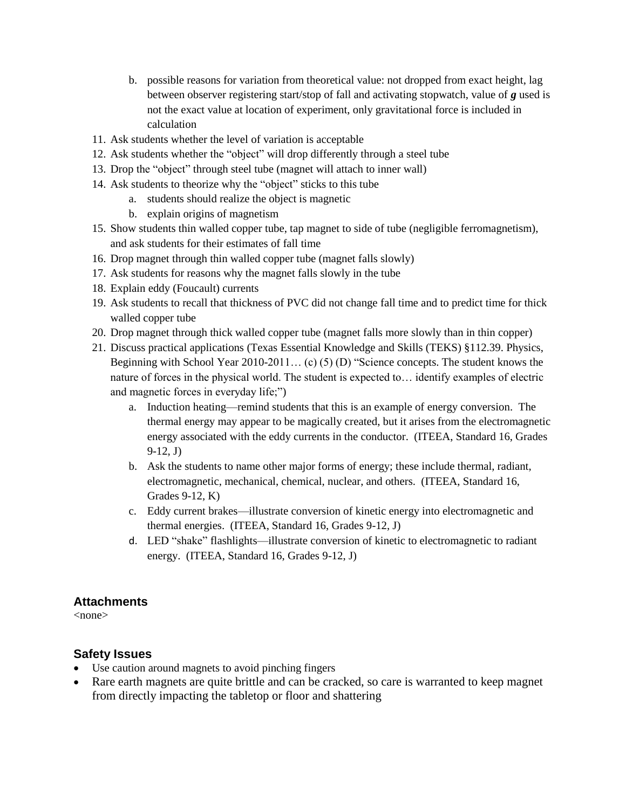- b. possible reasons for variation from theoretical value: not dropped from exact height, lag between observer registering start/stop of fall and activating stopwatch, value of *g* used is not the exact value at location of experiment, only gravitational force is included in calculation
- 11. Ask students whether the level of variation is acceptable
- 12. Ask students whether the "object" will drop differently through a steel tube
- 13. Drop the "object" through steel tube (magnet will attach to inner wall)
- 14. Ask students to theorize why the "object" sticks to this tube
	- a. students should realize the object is magnetic
	- b. explain origins of magnetism
- 15. Show students thin walled copper tube, tap magnet to side of tube (negligible ferromagnetism), and ask students for their estimates of fall time
- 16. Drop magnet through thin walled copper tube (magnet falls slowly)
- 17. Ask students for reasons why the magnet falls slowly in the tube
- 18. Explain eddy (Foucault) currents
- 19. Ask students to recall that thickness of PVC did not change fall time and to predict time for thick walled copper tube
- 20. Drop magnet through thick walled copper tube (magnet falls more slowly than in thin copper)
- 21. Discuss practical applications (Texas Essential Knowledge and Skills (TEKS) §112.39. Physics, Beginning with School Year 2010-2011… (c) (5) (D) "Science concepts. The student knows the nature of forces in the physical world. The student is expected to… identify examples of electric and magnetic forces in everyday life;")
	- a. Induction heating—remind students that this is an example of energy conversion. The thermal energy may appear to be magically created, but it arises from the electromagnetic energy associated with the eddy currents in the conductor. (ITEEA, Standard 16, Grades 9-12, J)
	- b. Ask the students to name other major forms of energy; these include thermal, radiant, electromagnetic, mechanical, chemical, nuclear, and others. (ITEEA, Standard 16, Grades 9-12, K)
	- c. Eddy current brakes—illustrate conversion of kinetic energy into electromagnetic and thermal energies. (ITEEA, Standard 16, Grades 9-12, J)
	- d. LED "shake" flashlights—illustrate conversion of kinetic to electromagnetic to radiant energy. (ITEEA, Standard 16, Grades 9-12, J)

### **Attachments**

<none>

### **Safety Issues**

- Use caution around magnets to avoid pinching fingers
- Rare earth magnets are quite brittle and can be cracked, so care is warranted to keep magnet from directly impacting the tabletop or floor and shattering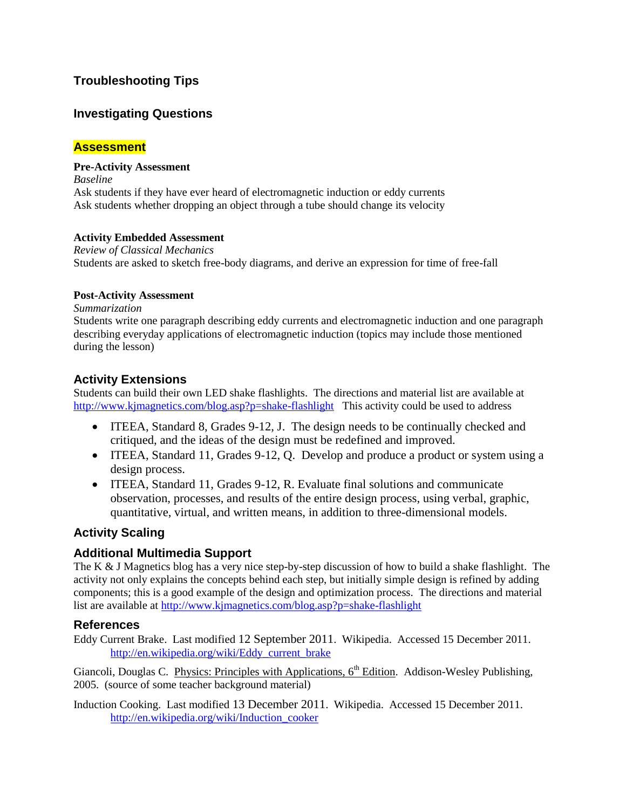# **Troubleshooting Tips**

# **Investigating Questions**

## **Assessment**

#### **Pre-Activity Assessment**

*Baseline* Ask students if they have ever heard of electromagnetic induction or eddy currents Ask students whether dropping an object through a tube should change its velocity

#### **Activity Embedded Assessment**

*Review of Classical Mechanics* Students are asked to sketch free-body diagrams, and derive an expression for time of free-fall

#### **Post-Activity Assessment**

*Summarization*

Students write one paragraph describing eddy currents and electromagnetic induction and one paragraph describing everyday applications of electromagnetic induction (topics may include those mentioned during the lesson)

## **Activity Extensions**

Students can build their own LED shake flashlights. The directions and material list are available at <http://www.kjmagnetics.com/blog.asp?p=shake-flashlight> This activity could be used to address

- ITEEA, Standard 8, Grades 9-12, J. The design needs to be continually checked and critiqued, and the ideas of the design must be redefined and improved.
- ITEEA, Standard 11, Grades 9-12, Q. Develop and produce a product or system using a design process.
- ITEEA, Standard 11, Grades 9-12, R. Evaluate final solutions and communicate observation, processes, and results of the entire design process, using verbal, graphic, quantitative, virtual, and written means, in addition to three-dimensional models.

# **Activity Scaling**

### **Additional Multimedia Support**

The K & J Magnetics blog has a very nice step-by-step discussion of how to build a shake flashlight. The activity not only explains the concepts behind each step, but initially simple design is refined by adding components; this is a good example of the design and optimization process. The directions and material list are available at<http://www.kjmagnetics.com/blog.asp?p=shake-flashlight>

### **References**

Eddy Current Brake. Last modified 12 September 2011. Wikipedia. Accessed 15 December 2011. [http://en.wikipedia.org/wiki/Eddy\\_current\\_brake](http://en.wikipedia.org/wiki/Eddy_current_brake)

Giancoli, Douglas C. Physics: Principles with Applications,  $6<sup>th</sup>$  Edition. Addison-Wesley Publishing, 2005. (source of some teacher background material)

Induction Cooking. Last modified 13 December 2011. Wikipedia. Accessed 15 December 2011. [http://en.wikipedia.org/wiki/Induction\\_cooker](http://en.wikipedia.org/wiki/Induction_cooker)